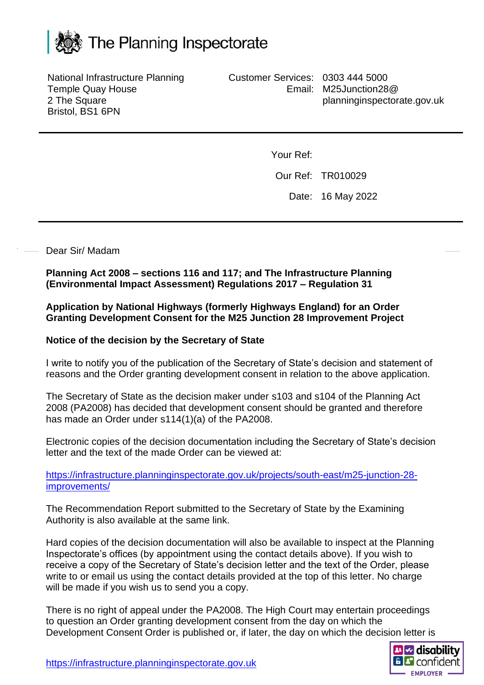

National Infrastructure Planning Temple Quay House 2 The Square Bristol, BS1 6PN

Customer Services: 0303 444 5000 Email: M25Junction28@ planninginspectorate.gov.uk

Your Ref:

Our Ref: TR010029

Date: 16 May 2022

## Dear Sir/ Madam

**Planning Act 2008 – sections 116 and 117; and The Infrastructure Planning (Environmental Impact Assessment) Regulations 2017 – Regulation 31**

**Application by National Highways (formerly Highways England) for an Order Granting Development Consent for the M25 Junction 28 Improvement Project**

## **Notice of the decision by the Secretary of State**

I write to notify you of the publication of the Secretary of State's decision and statement of reasons and the Order granting development consent in relation to the above application.

The Secretary of State as the decision maker under s103 and s104 of the Planning Act 2008 (PA2008) has decided that development consent should be granted and therefore has made an Order under s114(1)(a) of the PA2008.

Electronic copies of the decision documentation including the Secretary of State's decision letter and the text of the made Order can be viewed at:

[https://infrastructure.planninginspectorate.gov.uk/projects/south-east/m25-junction-28](https://infrastructure.planninginspectorate.gov.uk/projects/south-east/m25-junction-28-improvements/) [improvements/](https://infrastructure.planninginspectorate.gov.uk/projects/south-east/m25-junction-28-improvements/)

The Recommendation Report submitted to the Secretary of State by the Examining Authority is also available at the same link.

Hard copies of the decision documentation will also be available to inspect at the Planning Inspectorate's offices (by appointment using the contact details above). If you wish to receive a copy of the Secretary of State's decision letter and the text of the Order, please write to or email us using the contact details provided at the top of this letter. No charge will be made if you wish us to send you a copy.

There is no right of appeal under the PA2008. The High Court may entertain proceedings to question an Order granting development consent from the day on which the Development Consent Order is published or, if later, the day on which the decision letter is